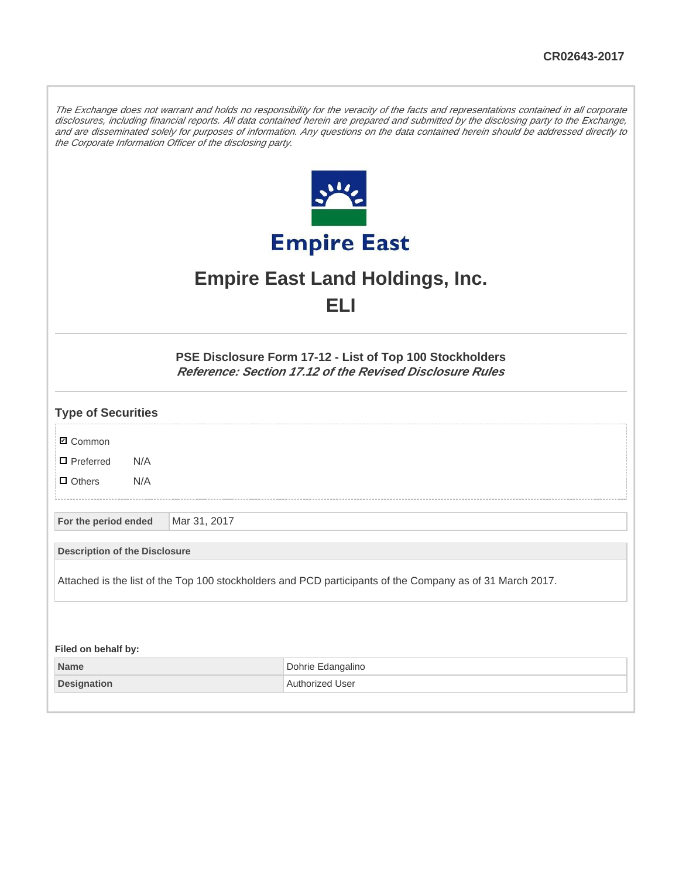The Exchange does not warrant and holds no responsibility for the veracity of the facts and representations contained in all corporate disclosures, including financial reports. All data contained herein are prepared and submitted by the disclosing party to the Exchange, and are disseminated solely for purposes of information. Any questions on the data contained herein should be addressed directly to the Corporate Information Officer of the disclosing party.



## **Empire East Land Holdings, Inc. ELI**

**PSE Disclosure Form 17-12 - List of Top 100 Stockholders Reference: Section 17.12 of the Revised Disclosure Rules**

| <b>Type of Securities</b>                                                                                 |     |              |                   |  |
|-----------------------------------------------------------------------------------------------------------|-----|--------------|-------------------|--|
| <b>Ø</b> Common                                                                                           |     |              |                   |  |
| $\Box$ Preferred                                                                                          | N/A |              |                   |  |
| $\Box$ Others                                                                                             | N/A |              |                   |  |
|                                                                                                           |     |              |                   |  |
| For the period ended                                                                                      |     | Mar 31, 2017 |                   |  |
| <b>Description of the Disclosure</b>                                                                      |     |              |                   |  |
| Attached is the list of the Top 100 stockholders and PCD participants of the Company as of 31 March 2017. |     |              |                   |  |
|                                                                                                           |     |              |                   |  |
|                                                                                                           |     |              |                   |  |
| Filed on behalf by:                                                                                       |     |              |                   |  |
| <b>Name</b>                                                                                               |     |              | Dohrie Edangalino |  |

**Designation Authorized User**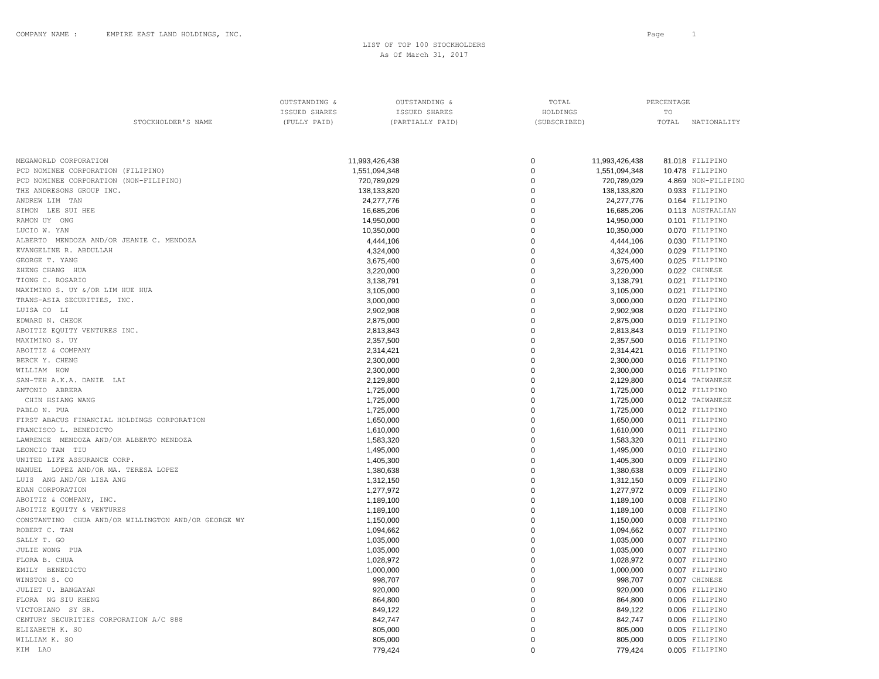STOCKHOLDER'S NAME (FULLY PAID) (PARTIALLY PAID) (SUBSCRIBED) TOTAL NATIONALITY

OUTSTANDING  $\&$   $\qquad$   $\qquad$   $\qquad$   $\qquad$   $\qquad$   $\qquad$   $\qquad$   $\qquad$   $\qquad$   $\qquad$   $\qquad$   $\qquad$   $\qquad$   $\qquad$   $\qquad$   $\qquad$   $\qquad$   $\qquad$   $\qquad$   $\qquad$   $\qquad$   $\qquad$   $\qquad$   $\qquad$   $\qquad$   $\qquad$   $\qquad$   $\qquad$   $\qquad$   $\qquad$   $\qquad$   $\qquad$   $\qquad$   $\qquad$  ISSUED SHARES ISSUED SHARES HOLDINGS TO

| MEGAWORLD CORPORATION                               | 11,993,426,438 | 0           | 11,993,426,438 | 81.018 FILIPINO    |
|-----------------------------------------------------|----------------|-------------|----------------|--------------------|
| PCD NOMINEE CORPORATION (FILIPINO)                  | 1,551,094,348  | $\mathbf 0$ | 1,551,094,348  | 10.478 FILIPINO    |
| PCD NOMINEE CORPORATION (NON-FILIPINO)              | 720,789,029    | 0           | 720,789,029    | 4.869 NON-FILIPINC |
| THE ANDRESONS GROUP INC.                            | 138,133,820    | $\Omega$    | 138,133,820    | 0.933 FILIPINO     |
| ANDREW LIM TAN                                      | 24,277,776     | $\mathbf 0$ | 24,277,776     | 0.164 FILIPINO     |
| SIMON LEE SUI HEE                                   | 16,685,206     | $\mathbf 0$ | 16,685,206     | 0.113 AUSTRALIAN   |
| RAMON UY ONG                                        | 14,950,000     | $\mathbf 0$ | 14,950,000     | 0.101 FILIPINO     |
| LUCIO W. YAN                                        | 10,350,000     | $\Omega$    | 10,350,000     | 0.070 FILIPINO     |
| ALBERTO MENDOZA AND/OR JEANIE C. MENDOZA            | 4,444,106      | $\mathbf 0$ | 4,444,106      | 0.030 FILIPINO     |
| EVANGELINE R. ABDULLAH                              | 4,324,000      | $\mathbf 0$ | 4,324,000      | 0.029 FILIPINO     |
| GEORGE T. YANG                                      | 3,675,400      | $\Omega$    | 3,675,400      | 0.025 FILIPINO     |
| ZHENG CHANG HUA                                     | 3,220,000      | 0           | 3,220,000      | 0.022 CHINESE      |
| TIONG C. ROSARIO                                    | 3,138,791      | $\mathbf 0$ | 3,138,791      | 0.021 FILIPINO     |
| MAXIMINO S. UY &/OR LIM HUE HUA                     | 3,105,000      | $\Omega$    | 3,105,000      | 0.021 FILIPINO     |
| TRANS-ASIA SECURITIES, INC.                         | 3,000,000      | $\mathbf 0$ | 3.000.000      | 0.020 FILIPINO     |
| LUISA CO LI                                         | 2,902,908      | $\mathbf 0$ | 2,902,908      | 0.020 FILIPINO     |
| EDWARD N. CHEOK                                     | 2,875,000      | $\mathbf 0$ | 2,875,000      | 0.019 FILIPINO     |
| ABOITIZ EQUITY VENTURES INC.                        | 2,813,843      | $\Omega$    | 2,813,843      | 0.019 FILIPINO     |
| MAXIMINO S. UY                                      | 2,357,500      | $\mathbf 0$ | 2,357,500      | 0.016 FILIPINO     |
| ABOITIZ & COMPANY                                   | 2,314,421      | $\mathbf 0$ | 2,314,421      | 0.016 FILIPINO     |
| BERCK Y. CHENG                                      | 2,300,000      | $\mathbf 0$ | 2,300,000      | 0.016 FILIPINO     |
| WILLIAM HOW                                         | 2,300,000      | $\mathbf 0$ | 2,300,000      | 0.016 FILIPINO     |
| SAN-TEH A.K.A. DANIE LAI                            | 2,129,800      | $\Omega$    | 2,129,800      | 0.014 TAIWANESE    |
| ANTONIO ABRERA                                      | 1,725,000      | $\mathbf 0$ | 1,725,000      | 0.012 FILIPINO     |
| CHIN HSIANG WANG                                    | 1,725,000      | $\mathbf 0$ | 1,725,000      | 0.012 TAIWANESE    |
| PABLO N. PUA                                        | 1,725,000      | $\mathbf 0$ | 1,725,000      | 0.012 FILIPINO     |
| FIRST ABACUS FINANCIAL HOLDINGS CORPORATION         | 1,650,000      | $\mathbf 0$ | 1,650,000      | 0.011 FILIPINO     |
| FRANCISCO L. BENEDICTO                              | 1,610,000      | $\mathbf 0$ | 1,610,000      | 0.011 FILIPINO     |
| LAWRENCE MENDOZA AND/OR ALBERTO MENDOZA             | 1,583,320      | $\mathbf 0$ | 1,583,320      | 0.011 FILIPINO     |
| LEONCIO TAN TIU                                     | 1,495,000      | $\mathbf 0$ | 1,495,000      | 0.010 FILIPINO     |
| UNITED LIFE ASSURANCE CORP.                         | 1,405,300      | $\mathbf 0$ | 1,405,300      | 0.009 FILIPINO     |
| MANUEL LOPEZ AND/OR MA. TERESA LOPEZ                | 1,380,638      | $\mathbf 0$ | 1,380,638      | 0.009 FILIPINO     |
| LUIS ANG AND/OR LISA ANG                            | 1,312,150      | $\Omega$    | 1,312,150      | 0.009 FILIPINO     |
| EDAN CORPORATION                                    | 1,277,972      | $\Omega$    | 1,277,972      | 0.009 FILIPINO     |
| ABOITIZ & COMPANY, INC.                             | 1,189,100      | $\mathbf 0$ | 1,189,100      | 0.008 FILIPINO     |
| ABOITIZ EQUITY & VENTURES                           | 1,189,100      | $\mathbf 0$ | 1,189,100      | 0.008 FILIPINO     |
| CONSTANTINO CHUA AND/OR WILLINGTON AND/OR GEORGE WY | 1,150,000      | $\Omega$    | 1,150,000      | 0.008 FILIPINO     |
| ROBERT C. TAN                                       | 1,094,662      | 0           | 1,094,662      | 0.007 FILIPINO     |
| SALLY T. GO                                         | 1,035,000      | $\mathbf 0$ | 1,035,000      | 0.007 FILIPINO     |
| JULIE WONG PUA                                      | 1,035,000      | $\mathbf 0$ | 1,035,000      | 0.007 FILIPINO     |
| FLORA B. CHUA                                       | 1,028,972      | $\mathbf 0$ | 1.028.972      | 0.007 FILIPINO     |
| EMILY BENEDICTO                                     | 1,000,000      | $\mathbf 0$ | 1,000,000      | 0.007 FILIPINO     |
| WINSTON S. CO                                       | 998,707        | $\Omega$    | 998,707        | 0.007 CHINESE      |
| JULIET U. BANGAYAN                                  | 920,000        | $\Omega$    | 920.000        | 0.006 FILIPINO     |
| FLORA NG SIU KHENG                                  | 864,800        | $\Omega$    | 864,800        | 0.006 FILIPINO     |

VICTORIANO SY SR. 849,122 0 849,122 0.006 FILIPINO CENTURY SECURITIES CORPORATION A/C 888 842,747 842,747 842,747 842,747 842,747 85 842,747 85 842,747 8642,747 85 ELIZABETH K. SO 805,000 0 805,000 0.005 FILIPINO WILLIAM K. SO 805,000 0 805,000 0.005 FILIPINO KIM LAO 779,424 0 779,424 0.005 FILIPINO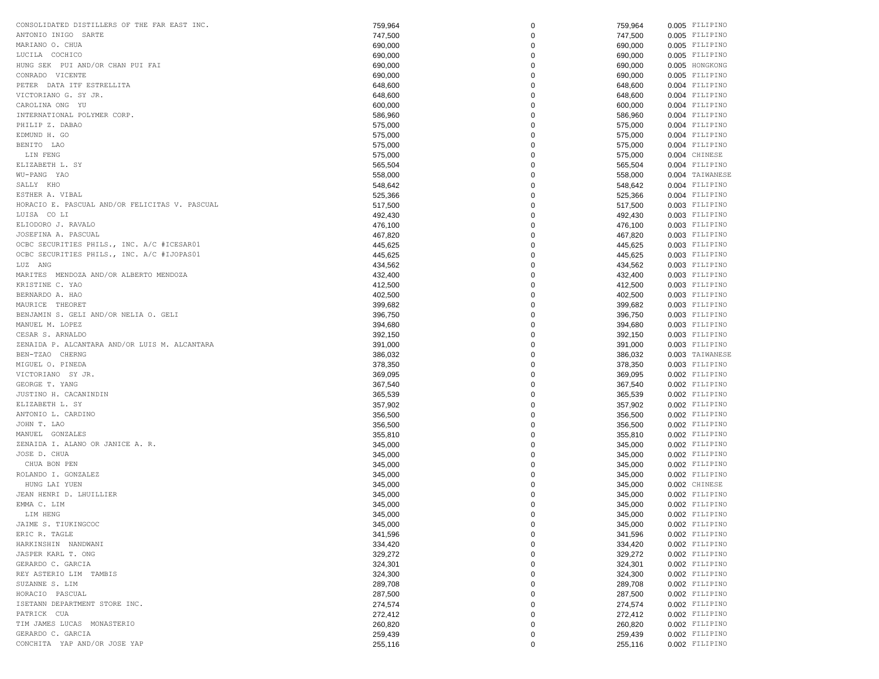| CONSOLIDATED DISTILLERS OF THE FAR EAST INC.   | 759,964 | $\mathbf 0$ | 759,964 | 0.005 FILIPINO                   |
|------------------------------------------------|---------|-------------|---------|----------------------------------|
| ANTONIO INIGO SARTE                            | 747,500 | 0           | 747,500 | 0.005 FILIPINO                   |
| MARIANO O. CHUA                                | 690,000 | $\mathbf 0$ | 690,000 | 0.005 FILIPINO                   |
| LUCILA COCHICO                                 | 690,000 | 0           | 690,000 | 0.005 FILIPINO                   |
| HUNG SEK PUI AND/OR CHAN PUI FAI               | 690,000 | 0           | 690,000 | 0.005 HONGKONG                   |
| CONRADO VICENTE                                | 690,000 | 0           | 690,000 | 0.005 FILIPINO                   |
| PETER DATA ITF ESTRELLITA                      | 648,600 | 0           | 648,600 | 0.004 FILIPINO                   |
| VICTORIANO G. SY JR.                           | 648,600 | 0           | 648,600 | 0.004 FILIPINO                   |
| CAROLINA ONG YU                                | 600,000 | 0           | 600,000 | 0.004 FILIPINO                   |
| INTERNATIONAL POLYMER CORP.                    | 586,960 | 0           | 586,960 | 0.004 FILIPINO                   |
| PHILIP Z. DABAO                                | 575,000 | $\mathbf 0$ | 575,000 | 0.004 FILIPINO                   |
| EDMUND H. GO                                   | 575,000 | 0           | 575,000 | 0.004 FILIPINO                   |
| BENITO LAO                                     | 575,000 | 0           | 575,000 | 0.004 FILIPINO                   |
| LIN FENG                                       | 575,000 | 0           | 575,000 | 0.004 CHINESE                    |
| ELIZABETH L. SY                                | 565,504 | 0           | 565,504 | 0.004 FILIPINO                   |
| WU-PANG YAO                                    | 558,000 | 0           | 558,000 | 0.004 TAIWANESE                  |
| SALLY KHO                                      | 548,642 | 0           | 548,642 | 0.004 FILIPINO                   |
| ESTHER A. VIBAL                                | 525,366 | 0           | 525,366 | 0.004 FILIPINO                   |
| HORACIO E. PASCUAL AND/OR FELICITAS V. PASCUAL | 517,500 | $\mathbf 0$ | 517,500 | 0.003 FILIPINO                   |
| LUISA CO LI                                    | 492,430 | 0           | 492,430 | 0.003 FILIPINO                   |
| ELIODORO J. RAVALO                             | 476,100 | 0           | 476,100 | 0.003 FILIPINO                   |
| JOSEFINA A. PASCUAL                            |         | 0           |         | 0.003 FILIPINO                   |
| OCBC SECURITIES PHILS., INC. A/C #ICESAR01     | 467,820 |             | 467,820 |                                  |
| OCBC SECURITIES PHILS., INC. A/C #IJOPAS01     | 445,625 | 0           | 445,625 | 0.003 FILIPINO<br>0.003 FILIPINO |
| LUZ ANG                                        | 445,625 | 0           | 445,625 | 0.003 FILIPINO                   |
|                                                | 434,562 | 0           | 434,562 |                                  |
| MARITES MENDOZA AND/OR ALBERTO MENDOZA         | 432,400 | 0           | 432,400 | 0.003 FILIPINO                   |
| KRISTINE C. YAO                                | 412,500 | 0           | 412,500 | 0.003 FILIPINO                   |
| BERNARDO A. HAO                                | 402,500 | 0           | 402,500 | 0.003 FILIPINO                   |
| MAURICE THEORET                                | 399,682 | 0           | 399,682 | 0.003 FILIPINO                   |
| BENJAMIN S. GELI AND/OR NELIA O. GELI          | 396,750 | 0           | 396,750 | 0.003 FILIPINO                   |
| MANUEL M. LOPEZ                                | 394,680 | 0           | 394,680 | 0.003 FILIPINO                   |
| CESAR S. ARNALDO                               | 392,150 | 0           | 392,150 | 0.003 FILIPINO                   |
| ZENAIDA P. ALCANTARA AND/OR LUIS M. ALCANTARA  | 391,000 | 0           | 391,000 | 0.003 FILIPINO                   |
| BEN-TZAO CHERNG                                | 386,032 | 0           | 386,032 | 0.003 TAIWANESE                  |
| MIGUEL O. PINEDA                               | 378,350 | 0           | 378,350 | 0.003 FILIPINO                   |
| VICTORIANO SY JR.                              | 369,095 | 0           | 369,095 | 0.002 FILIPINO                   |
| GEORGE T. YANG                                 | 367,540 | 0           | 367,540 | 0.002 FILIPINO                   |
| JUSTINO H. CACANINDIN                          | 365,539 | 0           | 365,539 | 0.002 FILIPINO                   |
| ELIZABETH L. SY                                | 357,902 | 0           | 357,902 | 0.002 FILIPINO                   |
| ANTONIO L. CARDINO                             | 356,500 | 0           | 356,500 | 0.002 FILIPINO                   |
| JOHN T. LAO                                    | 356,500 | 0           | 356,500 | 0.002 FILIPINO                   |
| MANUEL GONZALES                                | 355,810 | 0           | 355,810 | 0.002 FILIPINO                   |
| ZENAIDA I. ALANO OR JANICE A. R.               | 345,000 | 0           | 345,000 | 0.002 FILIPINO                   |
| JOSE D. CHUA                                   | 345,000 | 0           | 345,000 | 0.002 FILIPINO                   |
| CHUA BON PEN                                   | 345,000 | 0           | 345,000 | 0.002 FILIPINO                   |
| ROLANDO I. GONZALEZ                            | 345,000 | 0           | 345,000 | 0.002 FILIPINO                   |
| HUNG LAI YUEN                                  | 345,000 | $\mathbf 0$ | 345,000 | 0.002 CHINESE                    |
| JEAN HENRI D. LHUILLIER                        | 345,000 | 0           | 345,000 | 0.002 FILIPINO                   |
| EMMA C. LIM                                    | 345,000 | $\mathbf 0$ | 345,000 | 0.002 FILIPINO                   |
| LIM HENG                                       | 345,000 | $\Omega$    | 345,000 | 0.002 FILIPINO                   |
| JAIME S. TIUKINGCOC                            | 345,000 | $\mathbf 0$ | 345,000 | 0.002 FILIPINO                   |
| ERIC R. TAGLE                                  | 341,596 | 0           | 341,596 | 0.002 FILIPINO                   |
| HARKINSHIN NANDWANI                            | 334,420 | 0           | 334,420 | 0.002 FILIPINO                   |
| JASPER KARL T. ONG                             | 329,272 | 0           | 329,272 | 0.002 FILIPINO                   |
| GERARDO C. GARCIA                              | 324,301 | 0           | 324,301 | 0.002 FILIPINO                   |
| REY ASTERIO LIM TAMBIS                         | 324,300 | 0           | 324,300 | 0.002 FILIPINO                   |
| SUZANNE S. LIM                                 | 289,708 | 0           | 289,708 | 0.002 FILIPINO                   |
| HORACIO PASCUAL                                | 287,500 | 0           | 287,500 | 0.002 FILIPINO                   |
| ISETANN DEPARTMENT STORE INC.                  | 274,574 | 0           | 274,574 | 0.002 FILIPINO                   |
| PATRICK CUA                                    | 272,412 | 0           | 272,412 | 0.002 FILIPINO                   |
| TIM JAMES LUCAS MONASTERIO                     | 260,820 | 0           | 260,820 | 0.002 FILIPINO                   |
| GERARDO C. GARCIA                              | 259,439 | 0           | 259,439 | 0.002 FILIPINO                   |
| CONCHITA YAP AND/OR JOSE YAP                   | 255,116 | 0           | 255,116 | 0.002 FILIPINO                   |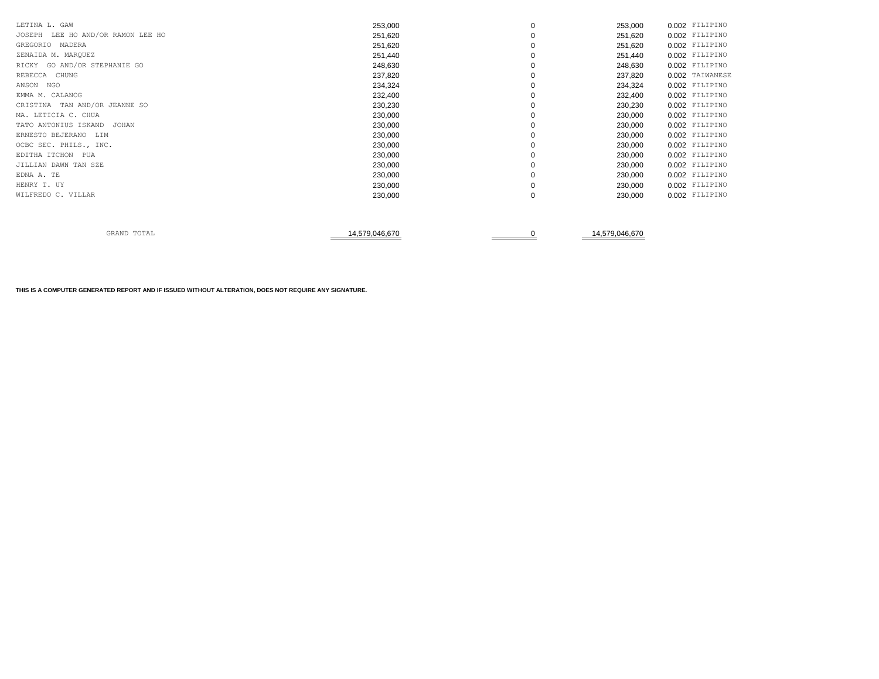| LETINA L. GAW                        | 253,000 | 0        | 253,000 | 0.002 FILIPINO  |
|--------------------------------------|---------|----------|---------|-----------------|
| JOSEPH<br>LEE HO AND/OR RAMON LEE HO | 251,620 | $\Omega$ | 251,620 | 0.002 FILIPINO  |
| GREGORIO MADERA                      | 251,620 | 0        | 251,620 | 0.002 FILIPINO  |
| ZENAIDA M. MARQUEZ                   | 251,440 |          | 251,440 | 0.002 FILIPINO  |
| RICKY GO AND/OR STEPHANIE GO         | 248,630 |          | 248,630 | 0.002 FILIPINO  |
| REBECCA CHUNG                        | 237,820 | 0        | 237,820 | 0.002 TAIWANESE |
| ANSON NGO                            | 234,324 | $\Omega$ | 234,324 | 0.002 FILIPINO  |
| EMMA M. CALANOG                      | 232,400 |          | 232,400 | 0.002 FILIPINO  |
| CRISTINA TAN AND/OR JEANNE SO        | 230,230 | $\Omega$ | 230,230 | 0.002 FILIPINO  |
| MA. LETICIA C. CHUA                  | 230,000 | $\Omega$ | 230,000 | 0.002 FILIPINO  |
| TATO ANTONIUS ISKAND<br>JOHAN        | 230,000 | $\Omega$ | 230,000 | 0.002 FILIPINO  |
| ERNESTO BEJERANO LIM                 | 230,000 | $\Omega$ | 230,000 | 0.002 FILIPINO  |
| OCBC SEC. PHILS., INC.               | 230,000 | 0        | 230,000 | 0.002 FILIPINO  |
| EDITHA ITCHON<br>PUA                 | 230,000 |          | 230,000 | 0.002 FILIPINO  |
| JILLIAN DAWN TAN SZE                 | 230,000 |          | 230,000 | 0.002 FILIPINO  |
| EDNA A. TE                           | 230,000 |          | 230,000 | 0.002 FILIPINO  |
| HENRY T. UY                          | 230,000 | $\Omega$ | 230,000 | 0.002 FILIPINO  |
| WILFREDO C. VILLAR                   | 230,000 | 0        | 230,000 | 0.002 FILIPINO  |
|                                      |         |          |         |                 |

| mom <sub>n</sub><br>GRAND<br>TOTUT<br>، س+ | <b>570 046 670</b><br>4.579.046.670<br>. با/16.670. . |
|--------------------------------------------|-------------------------------------------------------|
|--------------------------------------------|-------------------------------------------------------|

**THIS IS A COMPUTER GENERATED REPORT AND IF ISSUED WITHOUT ALTERATION, DOES NOT REQUIRE ANY SIGNATURE.**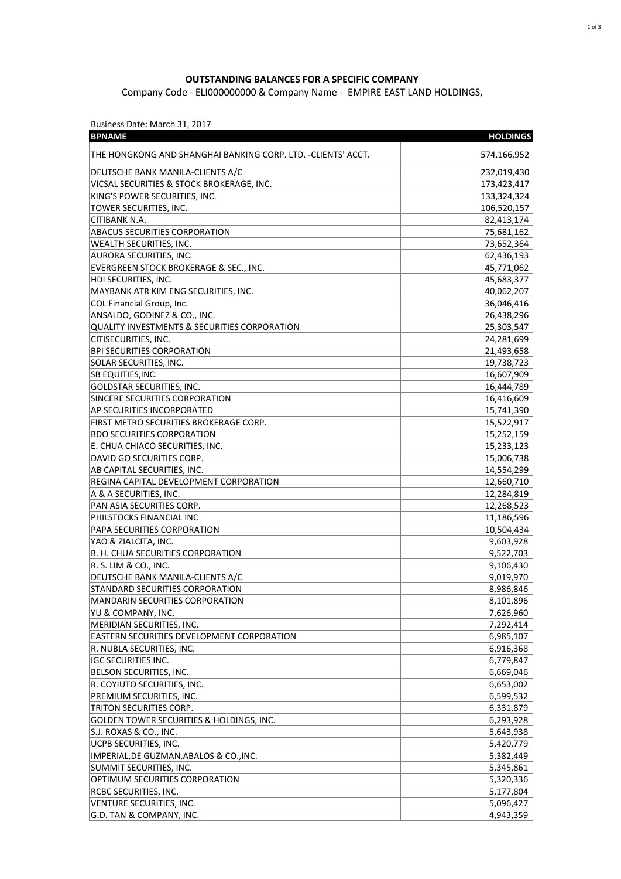## **OUTSTANDING BALANCES FOR A SPECIFIC COMPANY**

Company Code - ELI000000000 & Company Name - EMPIRE EAST LAND HOLDINGS,

Business Date: March 31, 2017

| <b>BPNAME</b>                                                | <b>HOLDINGS</b> |
|--------------------------------------------------------------|-----------------|
| THE HONGKONG AND SHANGHAI BANKING CORP. LTD. -CLIENTS' ACCT. | 574,166,952     |
| DEUTSCHE BANK MANILA-CLIENTS A/C                             | 232,019,430     |
| VICSAL SECURITIES & STOCK BROKERAGE, INC.                    | 173,423,417     |
| KING'S POWER SECURITIES, INC.                                | 133,324,324     |
| TOWER SECURITIES, INC.                                       | 106,520,157     |
| CITIBANK N.A.                                                | 82,413,174      |
| ABACUS SECURITIES CORPORATION                                | 75,681,162      |
| <b>WEALTH SECURITIES, INC.</b>                               | 73,652,364      |
| AURORA SECURITIES, INC.                                      | 62,436,193      |
| EVERGREEN STOCK BROKERAGE & SEC., INC.                       | 45,771,062      |
| HDI SECURITIES, INC.                                         | 45,683,377      |
| MAYBANK ATR KIM ENG SECURITIES, INC.                         | 40,062,207      |
| COL Financial Group, Inc.                                    | 36,046,416      |
| ANSALDO, GODINEZ & CO., INC.                                 | 26,438,296      |
| <b>QUALITY INVESTMENTS &amp; SECURITIES CORPORATION</b>      | 25,303,547      |
| CITISECURITIES, INC.                                         | 24,281,699      |
| <b>BPI SECURITIES CORPORATION</b>                            | 21,493,658      |
| SOLAR SECURITIES, INC.                                       | 19,738,723      |
| SB EQUITIES, INC.                                            | 16,607,909      |
| GOLDSTAR SECURITIES, INC.                                    | 16,444,789      |
| SINCERE SECURITIES CORPORATION                               | 16,416,609      |
| AP SECURITIES INCORPORATED                                   | 15,741,390      |
| FIRST METRO SECURITIES BROKERAGE CORP.                       | 15,522,917      |
| <b>BDO SECURITIES CORPORATION</b>                            | 15,252,159      |
| E. CHUA CHIACO SECURITIES, INC.                              | 15,233,123      |
| DAVID GO SECURITIES CORP.                                    | 15,006,738      |
| AB CAPITAL SECURITIES, INC.                                  | 14,554,299      |
| REGINA CAPITAL DEVELOPMENT CORPORATION                       | 12,660,710      |
| A & A SECURITIES, INC.                                       | 12,284,819      |
| PAN ASIA SECURITIES CORP.                                    | 12,268,523      |
| PHILSTOCKS FINANCIAL INC                                     | 11,186,596      |
| PAPA SECURITIES CORPORATION                                  | 10,504,434      |
| YAO & ZIALCITA, INC.                                         | 9,603,928       |
| B. H. CHUA SECURITIES CORPORATION                            | 9,522,703       |
| R. S. LIM & CO., INC.                                        | 9,106,430       |
| DEUTSCHE BANK MANILA-CLIENTS A/C                             | 9,019,970       |
| STANDARD SECURITIES CORPORATION                              | 8,986,846       |
| MANDARIN SECURITIES CORPORATION                              | 8,101,896       |
| YU & COMPANY, INC.                                           | 7,626,960       |
| MERIDIAN SECURITIES, INC.                                    | 7,292,414       |
| EASTERN SECURITIES DEVELOPMENT CORPORATION                   | 6,985,107       |
| R. NUBLA SECURITIES, INC.                                    | 6,916,368       |
| <b>IGC SECURITIES INC.</b>                                   | 6,779,847       |
| BELSON SECURITIES, INC.                                      | 6,669,046       |
| R. COYIUTO SECURITIES, INC.                                  | 6,653,002       |
| PREMIUM SECURITIES, INC.                                     | 6,599,532       |
| TRITON SECURITIES CORP.                                      | 6,331,879       |
| <b>GOLDEN TOWER SECURITIES &amp; HOLDINGS, INC.</b>          | 6,293,928       |
| S.J. ROXAS & CO., INC.                                       | 5,643,938       |
| UCPB SECURITIES, INC.                                        | 5,420,779       |
| IMPERIAL, DE GUZMAN, ABALOS & CO., INC.                      |                 |
| SUMMIT SECURITIES, INC.                                      | 5,382,449       |
| OPTIMUM SECURITIES CORPORATION                               | 5,345,861       |
|                                                              | 5,320,336       |
| RCBC SECURITIES, INC.                                        | 5,177,804       |
| VENTURE SECURITIES, INC.                                     | 5,096,427       |
| G.D. TAN & COMPANY, INC.                                     | 4,943,359       |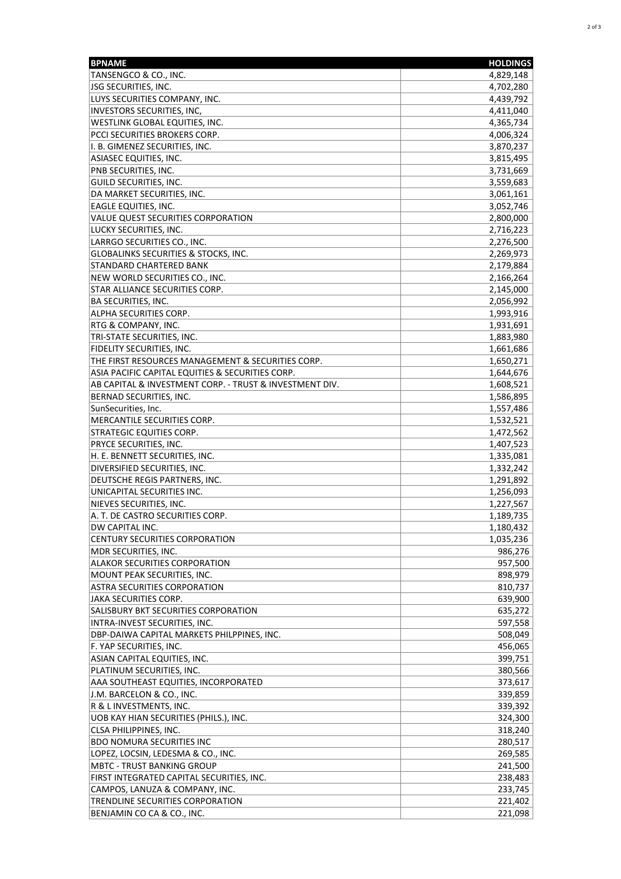| <b>BPNAME</b>                                                                  | <b>HOLDINGS</b>    |
|--------------------------------------------------------------------------------|--------------------|
| TANSENGCO & CO., INC.                                                          | 4,829,148          |
| JSG SECURITIES, INC.                                                           | 4,702,280          |
| LUYS SECURITIES COMPANY, INC.                                                  | 4,439,792          |
| INVESTORS SECURITIES, INC,                                                     | 4,411,040          |
| WESTLINK GLOBAL EQUITIES, INC.                                                 | 4,365,734          |
| PCCI SECURITIES BROKERS CORP.                                                  | 4,006,324          |
| I. B. GIMENEZ SECURITIES, INC.                                                 | 3,870,237          |
| ASIASEC EQUITIES, INC.                                                         | 3,815,495          |
| PNB SECURITIES, INC.                                                           | 3,731,669          |
| GUILD SECURITIES, INC.                                                         | 3,559,683          |
| DA MARKET SECURITIES, INC.                                                     | 3,061,161          |
| EAGLE EQUITIES, INC.                                                           | 3,052,746          |
| VALUE QUEST SECURITIES CORPORATION                                             | 2,800,000          |
| LUCKY SECURITIES, INC.                                                         | 2,716,223          |
| LARRGO SECURITIES CO., INC.                                                    | 2,276,500          |
| GLOBALINKS SECURITIES & STOCKS, INC.                                           | 2,269,973          |
| STANDARD CHARTERED BANK                                                        | 2,179,884          |
| NEW WORLD SECURITIES CO., INC.                                                 | 2,166,264          |
| STAR ALLIANCE SECURITIES CORP.                                                 | 2,145,000          |
| BA SECURITIES, INC.                                                            | 2,056,992          |
| ALPHA SECURITIES CORP.                                                         | 1,993,916          |
| RTG & COMPANY, INC.                                                            | 1,931,691          |
| TRI-STATE SECURITIES, INC.                                                     | 1,883,980          |
| FIDELITY SECURITIES, INC.                                                      | 1,661,686          |
| THE FIRST RESOURCES MANAGEMENT & SECURITIES CORP.                              | 1,650,271          |
| ASIA PACIFIC CAPITAL EQUITIES & SECURITIES CORP.                               | 1,644,676          |
| AB CAPITAL & INVESTMENT CORP. - TRUST & INVESTMENT DIV.                        | 1,608,521          |
| BERNAD SECURITIES, INC.                                                        | 1,586,895          |
| SunSecurities, Inc.                                                            | 1,557,486          |
| MERCANTILE SECURITIES CORP.                                                    | 1,532,521          |
| STRATEGIC EQUITIES CORP.                                                       | 1,472,562          |
| PRYCE SECURITIES, INC.                                                         | 1,407,523          |
| H. E. BENNETT SECURITIES, INC.                                                 | 1,335,081          |
| DIVERSIFIED SECURITIES, INC.                                                   | 1,332,242          |
| DEUTSCHE REGIS PARTNERS, INC.                                                  | 1,291,892          |
| UNICAPITAL SECURITIES INC.                                                     | 1,256,093          |
| NIEVES SECURITIES, INC.                                                        | 1,227,567          |
| A. T. DE CASTRO SECURITIES CORP.                                               | 1,189,735          |
| DW CAPITAL INC.                                                                | 1,180,432          |
| <b>CENTURY SECURITIES CORPORATION</b>                                          | 1,035,236          |
| MDR SECURITIES, INC.                                                           | 986,276            |
| <b>ALAKOR SECURITIES CORPORATION</b>                                           | 957,500            |
| MOUNT PEAK SECURITIES, INC.                                                    | 898,979            |
| <b>ASTRA SECURITIES CORPORATION</b>                                            | 810,737            |
| JAKA SECURITIES CORP.                                                          | 639,900            |
| SALISBURY BKT SECURITIES CORPORATION                                           | 635,272            |
| INTRA-INVEST SECURITIES, INC.<br>DBP-DAIWA CAPITAL MARKETS PHILPPINES, INC.    | 597,558            |
|                                                                                | 508,049            |
| F. YAP SECURITIES, INC.                                                        | 456,065            |
| ASIAN CAPITAL EQUITIES, INC.                                                   | 399,751            |
| PLATINUM SECURITIES, INC.                                                      | 380,566            |
| AAA SOUTHEAST EQUITIES, INCORPORATED                                           | 373,617            |
| J.M. BARCELON & CO., INC.                                                      | 339,859            |
| R & L INVESTMENTS, INC.<br>UOB KAY HIAN SECURITIES (PHILS.), INC.              | 339,392            |
|                                                                                | 324,300            |
| CLSA PHILIPPINES, INC.                                                         | 318,240            |
| <b>BDO NOMURA SECURITIES INC</b>                                               | 280,517            |
| LOPEZ, LOCSIN, LEDESMA & CO., INC.                                             | 269,585            |
| <b>MBTC - TRUST BANKING GROUP</b><br>FIRST INTEGRATED CAPITAL SECURITIES, INC. | 241,500            |
|                                                                                | 238,483            |
| CAMPOS, LANUZA & COMPANY, INC.<br>TRENDLINE SECURITIES CORPORATION             | 233,745<br>221,402 |
| BENJAMIN CO CA & CO., INC.                                                     | 221,098            |
|                                                                                |                    |